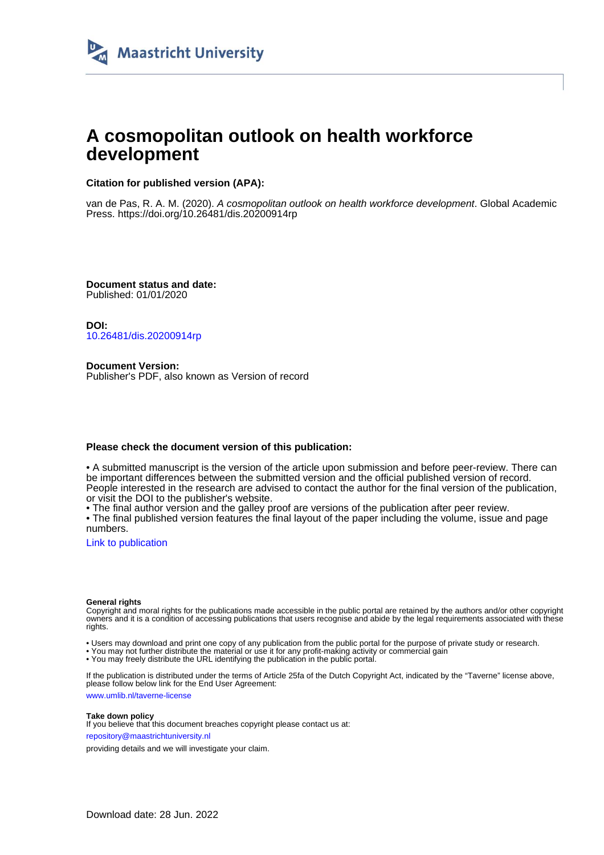

# **A cosmopolitan outlook on health workforce development**

### **Citation for published version (APA):**

van de Pas, R. A. M. (2020). A cosmopolitan outlook on health workforce development. Global Academic Press.<https://doi.org/10.26481/dis.20200914rp>

**Document status and date:** Published: 01/01/2020

**DOI:** [10.26481/dis.20200914rp](https://doi.org/10.26481/dis.20200914rp)

**Document Version:** Publisher's PDF, also known as Version of record

#### **Please check the document version of this publication:**

• A submitted manuscript is the version of the article upon submission and before peer-review. There can be important differences between the submitted version and the official published version of record. People interested in the research are advised to contact the author for the final version of the publication, or visit the DOI to the publisher's website.

• The final author version and the galley proof are versions of the publication after peer review.

• The final published version features the final layout of the paper including the volume, issue and page numbers.

[Link to publication](https://cris.maastrichtuniversity.nl/en/publications/b8a94012-fbf8-436f-8461-4349b963d220)

#### **General rights**

Copyright and moral rights for the publications made accessible in the public portal are retained by the authors and/or other copyright owners and it is a condition of accessing publications that users recognise and abide by the legal requirements associated with these rights.

• Users may download and print one copy of any publication from the public portal for the purpose of private study or research.

• You may not further distribute the material or use it for any profit-making activity or commercial gain

• You may freely distribute the URL identifying the publication in the public portal.

If the publication is distributed under the terms of Article 25fa of the Dutch Copyright Act, indicated by the "Taverne" license above, please follow below link for the End User Agreement:

www.umlib.nl/taverne-license

#### **Take down policy**

If you believe that this document breaches copyright please contact us at: repository@maastrichtuniversity.nl

providing details and we will investigate your claim.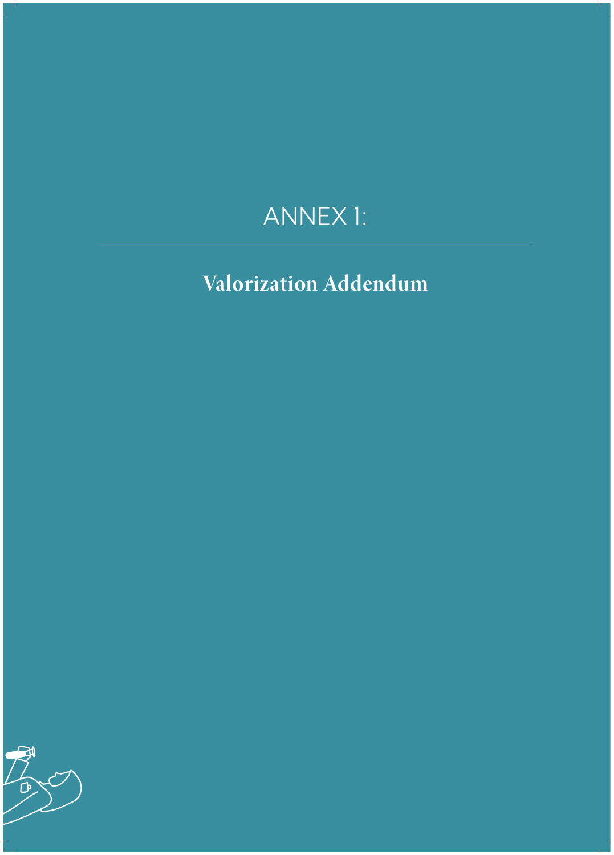# ANNEX 1:

**Valorization Addendum**

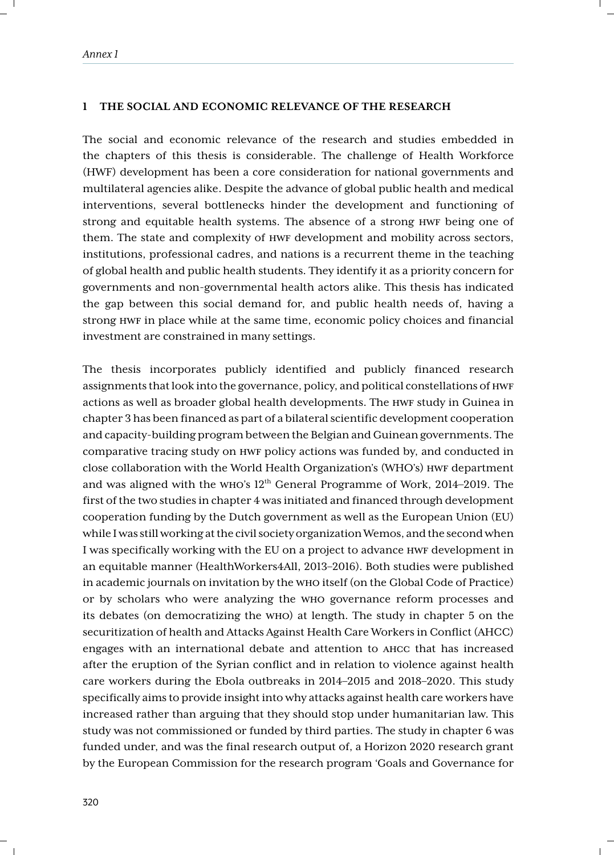#### **1 THE SOCIAL AND ECONOMIC RELEVANCE OF THE RESEARCH**

The social and economic relevance of the research and studies embedded in the chapters of this thesis is considerable. The challenge of Health Workforce (HWF) development has been a core consideration for national governments and multilateral agencies alike. Despite the advance of global public health and medical interventions, several bottlenecks hinder the development and functioning of strong and equitable health systems. The absence of a strong HWF being one of them. The state and complexity of HWF development and mobility across sectors, institutions, professional cadres, and nations is a recurrent theme in the teaching of global health and public health students. They identify it as a priority concern for governments and non-governmental health actors alike. This thesis has indicated the gap between this social demand for, and public health needs of, having a strong HWF in place while at the same time, economic policy choices and financial investment are constrained in many settings.

The thesis incorporates publicly identified and publicly financed research assignments that look into the governance, policy, and political constellations of HWF actions as well as broader global health developments. The HWF study in Guinea in chapter 3 has been financed as part of a bilateral scientific development cooperation and capacity-building program between the Belgian and Guinean governments. The comparative tracing study on HWF policy actions was funded by, and conducted in close collaboration with the World Health Organization's (WHO's) HWF department and was aligned with the WHO's 12th General Programme of Work, 2014–2019. The first of the two studies in chapter 4 was initiated and financed through development cooperation funding by the Dutch government as well as the European Union (EU) while I was still working at the civil society organization Wemos, and the second when I was specifically working with the EU on a project to advance HWF development in an equitable manner (HealthWorkers4All, 2013–2016). Both studies were published in academic journals on invitation by the WHO itself (on the Global Code of Practice) or by scholars who were analyzing the WHO governance reform processes and its debates (on democratizing the WHO) at length. The study in chapter 5 on the securitization of health and Attacks Against Health Care Workers in Conflict (AHCC) engages with an international debate and attention to AHCC that has increased after the eruption of the Syrian conflict and in relation to violence against health care workers during the Ebola outbreaks in 2014–2015 and 2018–2020. This study specifically aims to provide insight into why attacks against health care workers have increased rather than arguing that they should stop under humanitarian law. This study was not commissioned or funded by third parties. The study in chapter 6 was funded under, and was the final research output of, a Horizon 2020 research grant by the European Commission for the research program 'Goals and Governance for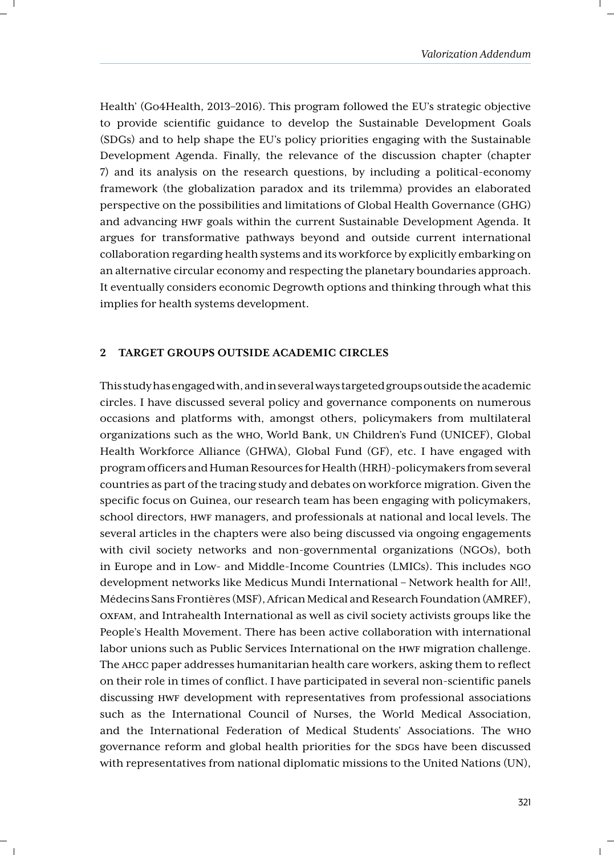Health' (Go4Health, 2013–2016). This program followed the EU's strategic objective to provide scientific guidance to develop the Sustainable Development Goals (SDGs) and to help shape the EU's policy priorities engaging with the Sustainable Development Agenda. Finally, the relevance of the discussion chapter (chapter 7) and its analysis on the research questions, by including a political-economy framework (the globalization paradox and its trilemma) provides an elaborated perspective on the possibilities and limitations of Global Health Governance (GHG) and advancing HWF goals within the current Sustainable Development Agenda. It argues for transformative pathways beyond and outside current international collaboration regarding health systems and its workforce by explicitly embarking on an alternative circular economy and respecting the planetary boundaries approach. It eventually considers economic Degrowth options and thinking through what this implies for health systems development.

#### **2 TARGET GROUPS OUTSIDE ACADEMIC CIRCLES**

This study has engaged with, and in several ways targeted groups outside the academic circles. I have discussed several policy and governance components on numerous occasions and platforms with, amongst others, policymakers from multilateral organizations such as the WHO, World Bank, UN Children's Fund (UNICEF), Global Health Workforce Alliance (GHWA), Global Fund (GF), etc. I have engaged with program officers and Human Resources for Health (HRH)-policymakers from several countries as part of the tracing study and debates on workforce migration. Given the specific focus on Guinea, our research team has been engaging with policymakers, school directors, HWF managers, and professionals at national and local levels. The several articles in the chapters were also being discussed via ongoing engagements with civil society networks and non-governmental organizations (NGOs), both in Europe and in Low- and Middle-Income Countries (LMICs). This includes NGO development networks like Medicus Mundi International – Network health for All!, Médecins Sans Frontières (MSF), African Medical and Research Foundation (AMREF), OXFAM, and Intrahealth International as well as civil society activists groups like the People's Health Movement. There has been active collaboration with international labor unions such as Public Services International on the HWF migration challenge. The AHCC paper addresses humanitarian health care workers, asking them to reflect on their role in times of conflict. I have participated in several non-scientific panels discussing HWF development with representatives from professional associations such as the International Council of Nurses, the World Medical Association, and the International Federation of Medical Students' Associations. The WHO governance reform and global health priorities for the SDGs have been discussed with representatives from national diplomatic missions to the United Nations (UN),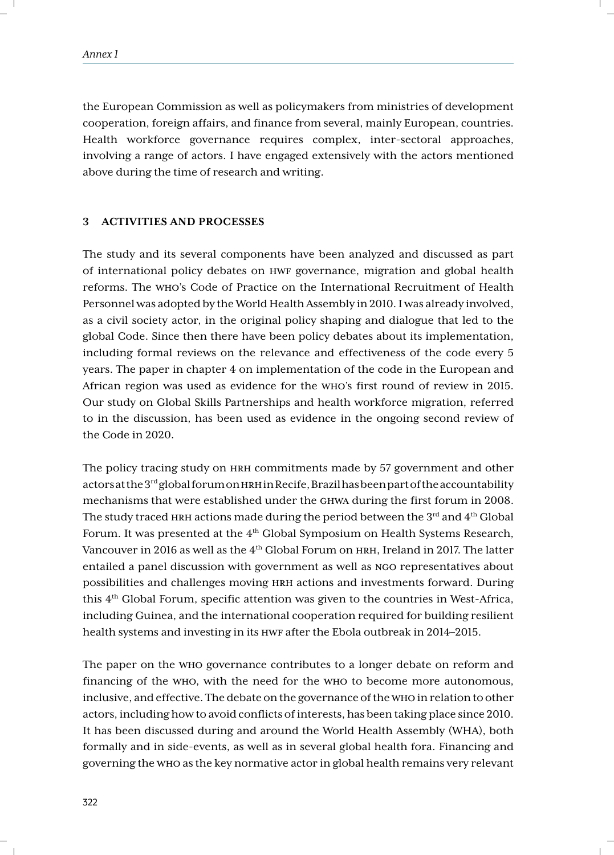the European Commission as well as policymakers from ministries of development cooperation, foreign affairs, and finance from several, mainly European, countries. Health workforce governance requires complex, inter-sectoral approaches, involving a range of actors. I have engaged extensively with the actors mentioned above during the time of research and writing.

#### **3 ACTIVITIES AND PROCESSES**

The study and its several components have been analyzed and discussed as part of international policy debates on HWF governance, migration and global health reforms. The WHO's Code of Practice on the International Recruitment of Health Personnel was adopted by the World Health Assembly in 2010. I was already involved, as a civil society actor, in the original policy shaping and dialogue that led to the global Code. Since then there have been policy debates about its implementation, including formal reviews on the relevance and effectiveness of the code every 5 years. The paper in chapter 4 on implementation of the code in the European and African region was used as evidence for the WHO's first round of review in 2015. Our study on Global Skills Partnerships and health workforce migration, referred to in the discussion, has been used as evidence in the ongoing second review of the Code in 2020.

The policy tracing study on HRH commitments made by 57 government and other actors at the 3rd global forum on HRH in Recife, Brazil has been part of the accountability mechanisms that were established under the GHWA during the first forum in 2008. The study traced HRH actions made during the period between the  $3<sup>rd</sup>$  and  $4<sup>th</sup>$  Global Forum. It was presented at the 4<sup>th</sup> Global Symposium on Health Systems Research, Vancouver in 2016 as well as the 4th Global Forum on HRH, Ireland in 2017. The latter entailed a panel discussion with government as well as NGO representatives about possibilities and challenges moving HRH actions and investments forward. During this  $4<sup>th</sup>$  Global Forum, specific attention was given to the countries in West-Africa, including Guinea, and the international cooperation required for building resilient health systems and investing in its HWF after the Ebola outbreak in 2014–2015.

The paper on the WHO governance contributes to a longer debate on reform and financing of the WHO, with the need for the WHO to become more autonomous, inclusive, and effective. The debate on the governance of the WHO in relation to other actors, including how to avoid conflicts of interests, has been taking place since 2010. It has been discussed during and around the World Health Assembly (WHA), both formally and in side-events, as well as in several global health fora. Financing and governing the WHO as the key normative actor in global health remains very relevant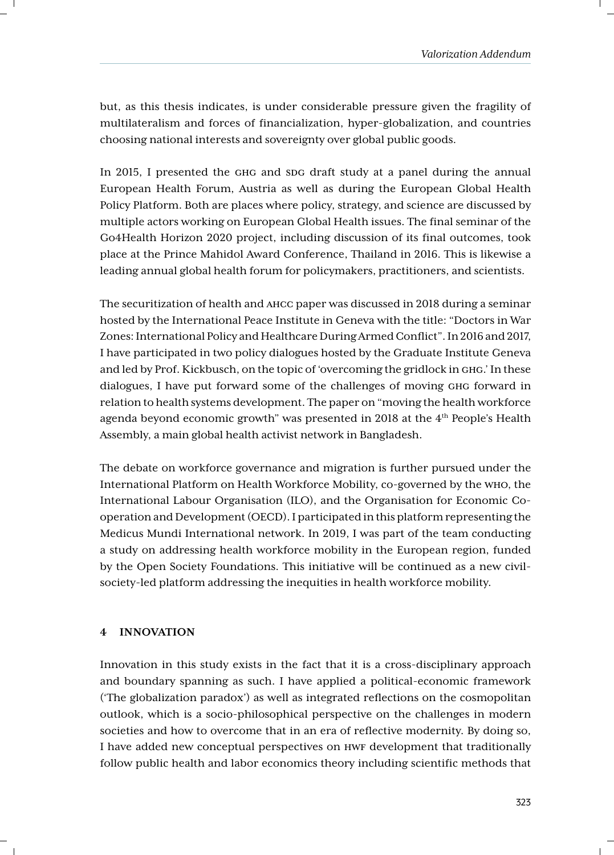but, as this thesis indicates, is under considerable pressure given the fragility of multilateralism and forces of financialization, hyper-globalization, and countries choosing national interests and sovereignty over global public goods.

In 2015, I presented the GHG and SDG draft study at a panel during the annual European Health Forum, Austria as well as during the European Global Health Policy Platform. Both are places where policy, strategy, and science are discussed by multiple actors working on European Global Health issues. The final seminar of the Go4Health Horizon 2020 project, including discussion of its final outcomes, took place at the Prince Mahidol Award Conference, Thailand in 2016. This is likewise a leading annual global health forum for policymakers, practitioners, and scientists.

The securitization of health and AHCC paper was discussed in 2018 during a seminar hosted by the International Peace Institute in Geneva with the title: "Doctors in War Zones: International Policy and Healthcare During Armed Conflict". In 2016 and 2017, I have participated in two policy dialogues hosted by the Graduate Institute Geneva and led by Prof. Kickbusch, on the topic of 'overcoming the gridlock in GHG.' In these dialogues, I have put forward some of the challenges of moving GHG forward in relation to health systems development. The paper on "moving the health workforce agenda beyond economic growth" was presented in 2018 at the 4th People's Health Assembly, a main global health activist network in Bangladesh.

The debate on workforce governance and migration is further pursued under the International Platform on Health Workforce Mobility, co-governed by the WHO, the International Labour Organisation (ILO), and the Organisation for Economic Cooperation and Development (OECD). I participated in this platform representing the Medicus Mundi International network. In 2019, I was part of the team conducting a study on addressing health workforce mobility in the European region, funded by the Open Society Foundations. This initiative will be continued as a new civilsociety-led platform addressing the inequities in health workforce mobility.

## **4 INNOVATION**

Innovation in this study exists in the fact that it is a cross-disciplinary approach and boundary spanning as such. I have applied a political-economic framework ('The globalization paradox') as well as integrated reflections on the cosmopolitan outlook, which is a socio-philosophical perspective on the challenges in modern societies and how to overcome that in an era of reflective modernity. By doing so, I have added new conceptual perspectives on HWF development that traditionally follow public health and labor economics theory including scientific methods that